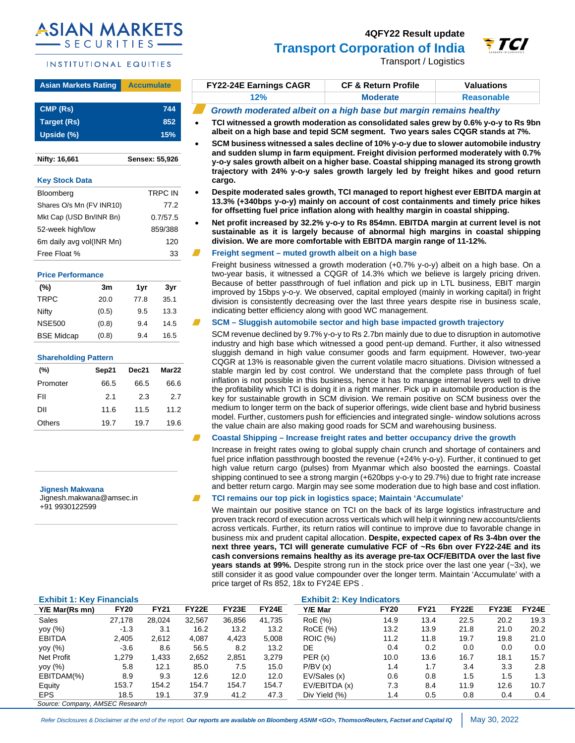# **SIAN MARKE SECURITIES**

# INSTITUTIONAL EQUITIES

# **Asian Markets Rating Accumulate CMP (Rs) 744**

| Target (Rs) | 852 |
|-------------|-----|
| Upside (%)  | 15% |
|             |     |

**Nifty: 16,661 Sensex: 55,926**

# **Key Stock Data**

| Bloomberg                | TRPC IN  |
|--------------------------|----------|
| Shares O/s Mn (FV INR10) | 77.2     |
| Mkt Cap (USD Bn/INR Bn)  | 0.7/57.5 |
| 52-week high/low         | 859/388  |
| 6m daily avg vol(INR Mn) | 120      |
| Free Float %             | 33       |

# **Price Performance**

| (%)               | 3m    | 1yr  | 3vr  |
|-------------------|-------|------|------|
| <b>TRPC</b>       | 20.0  | 77.8 | 35.1 |
| Nifty             | (0.5) | 9.5  | 13.3 |
| <b>NSE500</b>     | (0.8) | 9.4  | 14.5 |
| <b>BSE Midcap</b> | (0.8) | 9.4  | 16.5 |

# **Shareholding Pattern**

| $(\% )$  | Sep21 | Dec21 | Mar22 |
|----------|-------|-------|-------|
| Promoter | 66.5  | 66.5  | 66.6  |
| FII      | 2.1   | 2.3   | 2.7   |
| ווח      | 11.6  | 11.5  | 11.2  |
| Others   | 19.7  | 19.7  | 19.6  |
|          |       |       |       |

**Jignesh Makwana** 

Jignesh.makwana@amsec.in +91 9930122599

# **4QFY22 Result update**



Transport / Logistics

e TCI

| <b>FY22-24E Earnings CAGR</b> | <b>CF &amp; Return Profile</b> | Valuations        |
|-------------------------------|--------------------------------|-------------------|
| 12%                           | <b>Moderate</b>                | <b>Reasonable</b> |

- *Growth moderated albeit on a high base but margin remains healthy*
- **TCI witnessed a growth moderation as consolidated sales grew by 0.6% y-o-y to Rs 9bn albeit on a high base and tepid SCM segment. Two years sales CQGR stands at 7%.**
- **SCM business witnessed a sales decline of 10% y-o-y due to slower automobile industry and sudden slump in farm equipment. Freight division performed moderately with 0.7% y-o-y sales growth albeit on a higher base. Coastal shipping managed its strong growth trajectory with 24% y-o-y sales growth largely led by freight hikes and good return cargo.**
- **Despite moderated sales growth, TCI managed to report highest ever EBITDA margin at 13.3% (+340bps y-o-y) mainly on account of cost containments and timely price hikes for offsetting fuel price inflation along with healthy margin in coastal shipping.**
- **Net profit increased by 32.2% y-o-y to Rs 854mn. EBITDA margin at current level is not sustainable as it is largely because of abnormal high margins in coastal shipping division. We are more comfortable with EBITDA margin range of 11-12%.**

# **Freight segment – muted growth albeit on a high base**

Freight business witnessed a growth moderation (+0.7% y-o-y) albeit on a high base. On a two-year basis, it witnessed a CQGR of 14.3% which we believe is largely pricing driven. Because of better passthrough of fuel inflation and pick up in LTL business, EBIT margin improved by 15bps y-o-y. We observed, capital employed (mainly in working capital) in fright division is consistently decreasing over the last three years despite rise in business scale, indicating better efficiency along with good WC management.

# **SCM – Sluggish automobile sector and high base impacted growth trajectory**

SCM revenue declined by 9.7% y-o-y to Rs 2.7bn mainly due to due to disruption in automotive industry and high base which witnessed a good pent-up demand. Further, it also witnessed sluggish demand in high value consumer goods and farm equipment. However, two-year CQGR at 13% is reasonable given the current volatile macro situations. Division witnessed a stable margin led by cost control. We understand that the complete pass through of fuel inflation is not possible in this business, hence it has to manage internal levers well to drive the profitability which TCI is doing it in a right manner. Pick up in automobile production is the key for sustainable growth in SCM division. We remain positive on SCM business over the medium to longer term on the back of superior offerings, wide client base and hybrid business model. Further, customers push for efficiencies and integrated single- window solutions across the value chain are also making good roads for SCM and warehousing business.

# **Coastal Shipping – Increase freight rates and better occupancy drive the growth**

Increase in freight rates owing to global supply chain crunch and shortage of containers and fuel price inflation passthrough boosted the revenue (+24% y-o-y). Further, it continued to get high value return cargo (pulses) from Myanmar which also boosted the earnings. Coastal shipping continued to see a strong margin (+620bps y-o-y to 29.7%) due to fright rate increase and better return cargo. Margin may see some moderation due to high base and cost inflation.

# **TCI remains our top pick in logistics space; Maintain 'Accumulate'**

We maintain our positive stance on TCI on the back of its large logistics infrastructure and proven track record of execution across verticals which will help it winning new accounts/clients across verticals. Further, its return ratios will continue to improve due to favorable change in business mix and prudent capital allocation. **Despite, expected capex of Rs 3-4bn over the next three years, TCI will generate cumulative FCF of ~Rs 6bn over FY22-24E and its cash conversions remains healthy as its average pre-tax OCF/EBITDA over the last five years stands at 99%.** Despite strong run in the stock price over the last one year (~3x), we still consider it as good value compounder over the longer term. Maintain 'Accumulate' with a price target of Rs 852, 18x to FY24E EPS .

| <b>Exhibit 1: Key Financials</b> |             |             |        |              |              | <b>Exhibit 2: Key Indicators</b> |             |             |              |       |       |
|----------------------------------|-------------|-------------|--------|--------------|--------------|----------------------------------|-------------|-------------|--------------|-------|-------|
| Y/E Mar(Rs mn)                   | <b>FY20</b> | <b>FY21</b> | FY22E  | <b>FY23E</b> | <b>FY24E</b> | Y/E Mar                          | <b>FY20</b> | <b>FY21</b> | <b>FY22E</b> | FY23E | FY24E |
| Sales                            | 27.178      | 28.024      | 32.567 | 36.856       | 41.735       | RoE (%)                          | 14.9        | 13.4        | 22.5         | 20.2  | 19.3  |
| yoy (%)                          | $-1.3$      | 3.1         | 16.2   | 13.2         | 13.2         | <b>RoCE</b> (%)                  | 13.2        | 13.9        | 21.8         | 21.0  | 20.2  |
| <b>EBITDA</b>                    | 2,405       | 2.612       | 4,087  | 4.423        | 5.008        | <b>ROIC (%)</b>                  | 11.2        | 11.8        | 19.7         | 19.8  | 21.0  |
| yoy (%)                          | $-3.6$      | 8.6         | 56.5   | 8.2          | 13.2         | DE.                              | 0.4         | 0.2         | 0.0          | 0.0   | 0.0   |
| Net Profit                       | 1.279       | 1.433       | 2.652  | 2,851        | 3.279        | PER(x)                           | 10.0        | 13.6        | 16.7         | 18.1  | 15.7  |
| yoy $(%)$                        | 5.8         | 12.1        | 85.0   | 7.5          | 15.0         | P/BV(x)                          | 1.4         | 1.7         | 3.4          | 3.3   | 2.8   |
| EBITDAM(%)                       | 8.9         | 9.3         | 12.6   | 12.0         | 12.0         | EV/Sales (x)                     | 0.6         | 0.8         | 1.5          | 1.5   | 1.3   |
| Equity                           | 153.7       | 154.2       | 154.7  | 154.7        | 154.7        | EV/EBITDA (x)                    | 7.3         | 8.4         | 11.9         | 12.6  | 10.7  |
| <b>EPS</b>                       | 18.5        | 19.1        | 37.9   | 41.2         | 47.3         | Div Yield (%)                    | 1.4         | 0.5         | 0.8          | 0.4   | 0.4   |
| Source: Company, AMSEC Research  |             |             |        |              |              |                                  |             |             |              |       |       |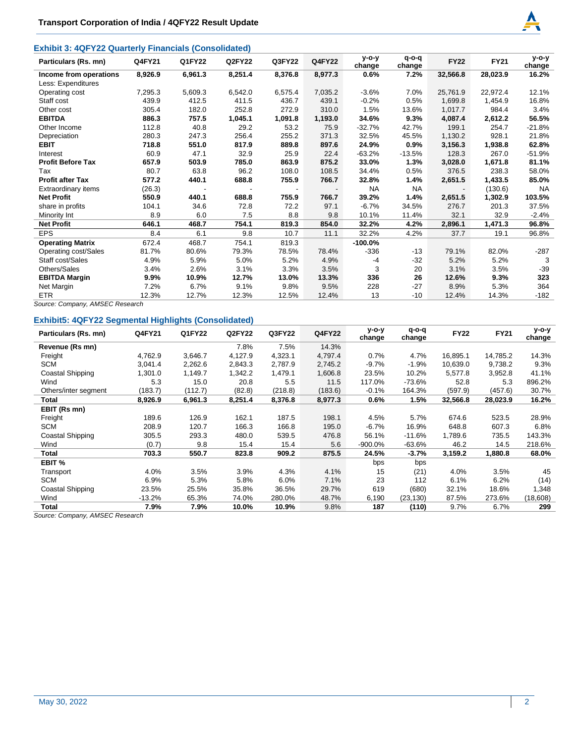# **Exhibit 3: 4QFY22 Quarterly Financials (Consolidated)**



| Particulars (Rs. mn)     | Q4FY21  | Q1FY22  | Q2FY22  | Q3FY22  | <b>Q4FY22</b> | $V-O-V$<br>change | $q$ -o-q<br>change | <b>FY22</b> | <b>FY21</b> | $y$ -o-y<br>change |
|--------------------------|---------|---------|---------|---------|---------------|-------------------|--------------------|-------------|-------------|--------------------|
| Income from operations   | 8,926.9 | 6,961.3 | 8,251.4 | 8,376.8 | 8,977.3       | 0.6%              | 7.2%               | 32,566.8    | 28,023.9    | 16.2%              |
| Less: Expenditures       |         |         |         |         |               |                   |                    |             |             |                    |
| Operating cost           | 7,295.3 | 5,609.3 | 6,542.0 | 6,575.4 | 7,035.2       | $-3.6%$           | 7.0%               | 25,761.9    | 22,972.4    | 12.1%              |
| Staff cost               | 439.9   | 412.5   | 411.5   | 436.7   | 439.1         | $-0.2%$           | 0.5%               | 1,699.8     | 1,454.9     | 16.8%              |
| Other cost               | 305.4   | 182.0   | 252.8   | 272.9   | 310.0         | 1.5%              | 13.6%              | 1,017.7     | 984.4       | 3.4%               |
| <b>EBITDA</b>            | 886.3   | 757.5   | 1,045.1 | 1,091.8 | 1,193.0       | 34.6%             | 9.3%               | 4,087.4     | 2,612.2     | 56.5%              |
| Other Income             | 112.8   | 40.8    | 29.2    | 53.2    | 75.9          | $-32.7%$          | 42.7%              | 199.1       | 254.7       | $-21.8%$           |
| Depreciation             | 280.3   | 247.3   | 256.4   | 255.2   | 371.3         | 32.5%             | 45.5%              | 1,130.2     | 928.1       | 21.8%              |
| <b>EBIT</b>              | 718.8   | 551.0   | 817.9   | 889.8   | 897.6         | 24.9%             | 0.9%               | 3,156.3     | 1,938.8     | 62.8%              |
| Interest                 | 60.9    | 47.1    | 32.9    | 25.9    | 22.4          | $-63.2%$          | $-13.5%$           | 128.3       | 267.0       | $-51.9%$           |
| <b>Profit Before Tax</b> | 657.9   | 503.9   | 785.0   | 863.9   | 875.2         | 33.0%             | 1.3%               | 3,028.0     | 1,671.8     | 81.1%              |
| Tax                      | 80.7    | 63.8    | 96.2    | 108.0   | 108.5         | 34.4%             | 0.5%               | 376.5       | 238.3       | 58.0%              |
| <b>Profit after Tax</b>  | 577.2   | 440.1   | 688.8   | 755.9   | 766.7         | 32.8%             | 1.4%               | 2,651.5     | 1,433.5     | 85.0%              |
| Extraordinary items      | (26.3)  |         |         |         |               | <b>NA</b>         | <b>NA</b>          |             | (130.6)     | <b>NA</b>          |
| <b>Net Profit</b>        | 550.9   | 440.1   | 688.8   | 755.9   | 766.7         | 39.2%             | 1.4%               | 2,651.5     | 1,302.9     | 103.5%             |
| share in profits         | 104.1   | 34.6    | 72.8    | 72.2    | 97.1          | $-6.7%$           | 34.5%              | 276.7       | 201.3       | 37.5%              |
| Minority Int             | 8.9     | 6.0     | 7.5     | 8.8     | 9.8           | 10.1%             | 11.4%              | 32.1        | 32.9        | $-2.4%$            |
| <b>Net Profit</b>        | 646.1   | 468.7   | 754.1   | 819.3   | 854.0         | 32.2%             | 4.2%               | 2,896.1     | 1,471.3     | 96.8%              |
| <b>EPS</b>               | 8.4     | 6.1     | 9.8     | 10.7    | 11.1          | 32.2%             | 4.2%               | 37.7        | 19.1        | 96.8%              |
| <b>Operating Matrix</b>  | 672.4   | 468.7   | 754.1   | 819.3   |               | $-100.0\%$        |                    |             |             |                    |
| Operating cost/Sales     | 81.7%   | 80.6%   | 79.3%   | 78.5%   | 78.4%         | -336              | -13                | 79.1%       | 82.0%       | -287               |
| Staff cost/Sales         | 4.9%    | 5.9%    | 5.0%    | 5.2%    | 4.9%          | -4                | $-32$              | 5.2%        | 5.2%        | 3                  |
| Others/Sales             | 3.4%    | 2.6%    | 3.1%    | 3.3%    | 3.5%          | 3                 | 20                 | 3.1%        | 3.5%        | $-39$              |
| <b>EBITDA Margin</b>     | 9.9%    | 10.9%   | 12.7%   | 13.0%   | 13.3%         | 336               | 26                 | 12.6%       | 9.3%        | 323                |
| Net Margin               | 7.2%    | 6.7%    | 9.1%    | 9.8%    | 9.5%          | 228               | $-27$              | 8.9%        | 5.3%        | 364                |
| <b>ETR</b>               | 12.3%   | 12.7%   | 12.3%   | 12.5%   | 12.4%         | 13                | -10                | 12.4%       | 14.3%       | $-182$             |

*Source: Company, AMSEC Research* 

# **Exhibit5: 4QFY22 Segmental Highlights (Consolidated)**

| Particulars (Rs. mn) | Q4FY21   | Q1FY22  | Q2FY22  | Q3FY22  | <b>Q4FY22</b> | $y$ -o-y<br>change | $q$ -o-q<br>change | <b>FY22</b> | <b>FY21</b> | $y$ -o-y<br>change |
|----------------------|----------|---------|---------|---------|---------------|--------------------|--------------------|-------------|-------------|--------------------|
| Revenue (Rs mn)      |          |         | 7.8%    | 7.5%    | 14.3%         |                    |                    |             |             |                    |
| Freight              | 4,762.9  | 3,646.7 | 4,127.9 | 4,323.1 | 4,797.4       | 0.7%               | 4.7%               | 16,895.1    | 14,785.2    | 14.3%              |
| <b>SCM</b>           | 3,041.4  | 2,262.6 | 2,843.3 | 2.787.9 | 2,745.2       | $-9.7%$            | $-1.9%$            | 10,639.0    | 9,738.2     | 9.3%               |
| Coastal Shipping     | 1,301.0  | 1,149.7 | 1,342.2 | 1,479.1 | 1,606.8       | 23.5%              | 10.2%              | 5,577.8     | 3,952.8     | 41.1%              |
| Wind                 | 5.3      | 15.0    | 20.8    | 5.5     | 11.5          | 117.0%             | $-73.6%$           | 52.8        | 5.3         | 896.2%             |
| Others/inter segment | (183.7)  | (112.7) | (82.8)  | (218.8) | (183.6)       | $-0.1%$            | 164.3%             | (597.9)     | (457.6)     | 30.7%              |
| Total                | 8,926.9  | 6,961.3 | 8,251.4 | 8,376.8 | 8,977.3       | 0.6%               | 1.5%               | 32,566.8    | 28,023.9    | 16.2%              |
| EBIT (Rs mn)         |          |         |         |         |               |                    |                    |             |             |                    |
| Freight              | 189.6    | 126.9   | 162.1   | 187.5   | 198.1         | 4.5%               | 5.7%               | 674.6       | 523.5       | 28.9%              |
| <b>SCM</b>           | 208.9    | 120.7   | 166.3   | 166.8   | 195.0         | $-6.7%$            | 16.9%              | 648.8       | 607.3       | 6.8%               |
| Coastal Shipping     | 305.5    | 293.3   | 480.0   | 539.5   | 476.8         | 56.1%              | $-11.6%$           | 1,789.6     | 735.5       | 143.3%             |
| Wind                 | (0.7)    | 9.8     | 15.4    | 15.4    | 5.6           | $-900.0\%$         | -63.6%             | 46.2        | 14.5        | 218.6%             |
| Total                | 703.3    | 550.7   | 823.8   | 909.2   | 875.5         | 24.5%              | $-3.7%$            | 3,159.2     | 1,880.8     | 68.0%              |
| EBIT %               |          |         |         |         |               | bps                | bps                |             |             |                    |
| Transport            | 4.0%     | 3.5%    | 3.9%    | 4.3%    | 4.1%          | 15                 | (21)               | 4.0%        | 3.5%        | 45                 |
| <b>SCM</b>           | 6.9%     | 5.3%    | 5.8%    | 6.0%    | 7.1%          | 23                 | 112                | 6.1%        | 6.2%        | (14)               |
| Coastal Shipping     | 23.5%    | 25.5%   | 35.8%   | 36.5%   | 29.7%         | 619                | (680)              | 32.1%       | 18.6%       | 1,348              |
| Wind                 | $-13.2%$ | 65.3%   | 74.0%   | 280.0%  | 48.7%         | 6,190              | (23,130)           | 87.5%       | 273.6%      | (18,608)           |
| Total                | 7.9%     | 7.9%    | 10.0%   | 10.9%   | 9.8%          | 187                | (110)              | 9.7%        | 6.7%        | 299                |

*Source: Company, AMSEC Research*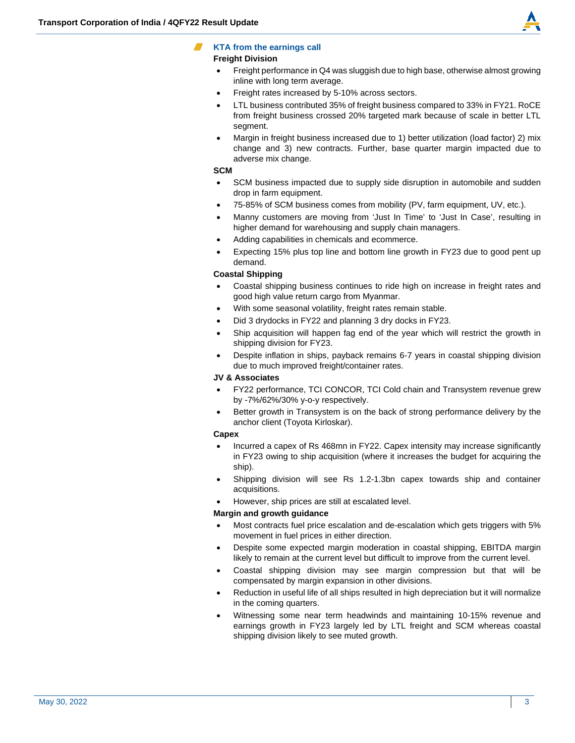

# **KTA from the earnings call**

# **Freight Division**

- Freight performance in Q4 was sluggish due to high base, otherwise almost growing inline with long term average.
- Freight rates increased by 5-10% across sectors.
- LTL business contributed 35% of freight business compared to 33% in FY21. RoCE from freight business crossed 20% targeted mark because of scale in better LTL segment.
- Margin in freight business increased due to 1) better utilization (load factor) 2) mix change and 3) new contracts. Further, base quarter margin impacted due to adverse mix change.

# **SCM**

- SCM business impacted due to supply side disruption in automobile and sudden drop in farm equipment.
- 75-85% of SCM business comes from mobility (PV, farm equipment, UV, etc.).
- Manny customers are moving from 'Just In Time' to 'Just In Case', resulting in higher demand for warehousing and supply chain managers.
- Adding capabilities in chemicals and ecommerce.
- Expecting 15% plus top line and bottom line growth in FY23 due to good pent up demand.

# **Coastal Shipping**

- Coastal shipping business continues to ride high on increase in freight rates and good high value return cargo from Myanmar.
- With some seasonal volatility, freight rates remain stable.
- Did 3 drydocks in FY22 and planning 3 dry docks in FY23.
- Ship acquisition will happen fag end of the year which will restrict the growth in shipping division for FY23.
- Despite inflation in ships, payback remains 6-7 years in coastal shipping division due to much improved freight/container rates.

# **JV & Associates**

- FY22 performance, TCI CONCOR, TCI Cold chain and Transystem revenue grew by -7%/62%/30% y-o-y respectively.
- Better growth in Transystem is on the back of strong performance delivery by the anchor client (Toyota Kirloskar).

# **Capex**

- Incurred a capex of Rs 468mn in FY22. Capex intensity may increase significantly in FY23 owing to ship acquisition (where it increases the budget for acquiring the ship).
- Shipping division will see Rs 1.2-1.3bn capex towards ship and container acquisitions.
- However, ship prices are still at escalated level.

# **Margin and growth guidance**

- Most contracts fuel price escalation and de-escalation which gets triggers with 5% movement in fuel prices in either direction.
- Despite some expected margin moderation in coastal shipping, EBITDA margin likely to remain at the current level but difficult to improve from the current level.
- Coastal shipping division may see margin compression but that will be compensated by margin expansion in other divisions.
- Reduction in useful life of all ships resulted in high depreciation but it will normalize in the coming quarters.
- Witnessing some near term headwinds and maintaining 10-15% revenue and earnings growth in FY23 largely led by LTL freight and SCM whereas coastal shipping division likely to see muted growth.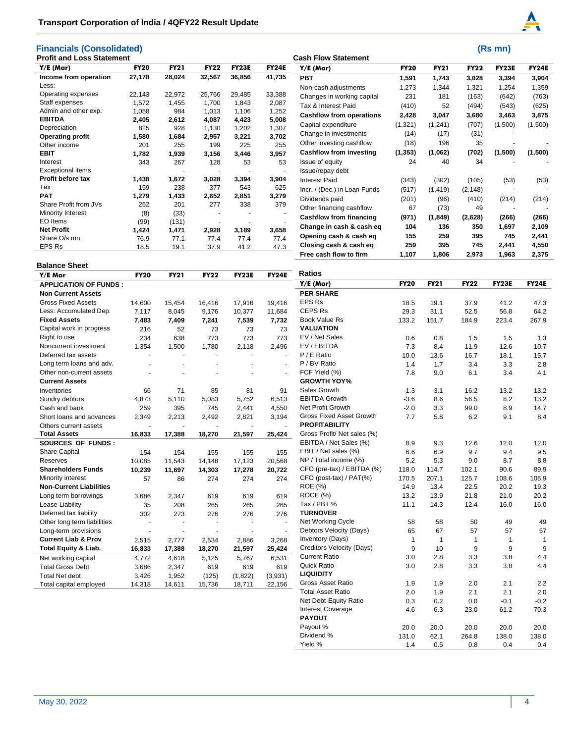# **Financials (Consolidated)** (Rs mn)



| <b>Profit and Loss Statement</b> |             |             |             |              |              | <b>Cash Flow Statement</b>      |             |             |             |              |              |
|----------------------------------|-------------|-------------|-------------|--------------|--------------|---------------------------------|-------------|-------------|-------------|--------------|--------------|
| Y/E (Mar)                        | <b>FY20</b> | <b>FY21</b> | <b>FY22</b> | <b>FY23E</b> | <b>FY24E</b> | Y/E (Mar)                       | <b>FY20</b> | <b>FY21</b> | <b>FY22</b> | <b>FY23E</b> | <b>FY24E</b> |
| Income from operation            | 27,178      | 28,024      | 32,567      | 36,856       | 41,735       | <b>PBT</b>                      | 1,591       | 1,743       | 3,028       | 3,394        | 3,904        |
| Less:                            |             |             |             |              |              | Non-cash adjustments            | 1,273       | 1,344       | 1,321       | 1,254        | 1,359        |
| Operating expenses               | 22,143      | 22,972      | 25,766      | 29,485       | 33,388       | Changes in working capital      | 231         | 181         | (163)       | (642)        | (763)        |
| Staff expenses                   | 1,572       | 1,455       | 1,700       | 1,843        | 2,087        | Tax & Interest Paid             | (410)       | 52          | (494)       | (543)        | (625)        |
| Admin and other exp.             | 1,058       | 984         | 1,013       | 1,106        | 1,252        | <b>Cashflow from operations</b> | 2,428       | 3,047       | 3,680       | 3,463        | 3,875        |
| <b>EBITDA</b>                    | 2,405       | 2,612       | 4,087       | 4,423        | 5,008        | Capital expenditure             | (1,321)     | (1, 241)    | (707)       | (1,500)      | (1,500)      |
| Depreciation                     | 825         | 928         | 1,130       | 1,202        | 1,307        |                                 |             |             |             |              |              |
| <b>Operating profit</b>          | 1,580       | 1,684       | 2,957       | 3,221        | 3,702        | Change in investments           | (14)        | (17)        | (31)        |              |              |
| Other income                     | 201         | 255         | 199         | 225          | 255          | Other investing cashflow        | (18)        | 196         | 35          |              |              |
| <b>EBIT</b>                      | 1,782       | 1,939       | 3,156       | 3,446        | 3,957        | <b>Cashflow from investing</b>  | (1, 353)    | (1,062)     | (702)       | (1,500)      | (1,500)      |
| Interest                         | 343         | 267         | 128         | 53           | 53           | Issue of equity                 | 24          | 40          | 34          |              |              |
| <b>Exceptional items</b>         |             |             |             |              |              | Issue/repay debt                |             |             |             |              |              |
| Profit before tax                | 1,438       | 1,672       | 3,028       | 3,394        | 3,904        | <b>Interest Paid</b>            | (343)       | (302)       | (105)       | (53)         | (53)         |
| Tax                              | 159         | 238         | 377         | 543          | 625          | Incr. / (Dec.) in Loan Funds    | (517)       | (1, 419)    | (2, 148)    |              |              |
| <b>PAT</b>                       | 1,279       | 1,433       | 2,652       | 2,851        | 3,279        | Dividends paid                  | (201)       | (96)        | (410)       | (214)        | (214)        |
| Share Profit from JVs            | 252         | 201         | 277         | 338          | 379          | Other financing cashflow        | 67          | (73)        | 49          |              |              |
| Minority Interest                | (8)         | (33)        |             |              |              | Cashflow from financing         |             |             |             |              |              |
| EO Items                         | (99)        | (131)       |             |              |              |                                 | (971)       | (1,849)     | (2,628)     | (266)        | (266)        |
| <b>Net Profit</b>                | 1,424       | 1,471       | 2,928       | 3,189        | 3,658        | Change in cash & cash eg        | 104         | 136         | 350         | 1,697        | 2,109        |
| Share O/s mn                     | 76.9        | 77.1        | 77.4        | 77.4         | 77.4         | Opening cash & cash eq          | 155         | 259         | 395         | 745          | 2,441        |
| <b>EPS Rs</b>                    | 18.5        | 19.1        | 37.9        | 41.2         | 47.3         | Closing cash & cash eq          | 259         | 395         | 745         | 2,441        | 4,550        |
|                                  |             |             |             |              |              | Free cash flow to firm          | 1,107       | 1,806       | 2,973       | 1,963        | 2,375        |

#### **Balance Sheet**

| Y/E Mar                         | <b>FY20</b> | <b>FY21</b> | <b>FY22</b> | <b>FY23E</b> | <b>FY24E</b> | <b>Ratios</b>                   |             |                |              |              |              |
|---------------------------------|-------------|-------------|-------------|--------------|--------------|---------------------------------|-------------|----------------|--------------|--------------|--------------|
| <b>APPLICATION OF FUNDS:</b>    |             |             |             |              |              | Y/E (Mar)                       | <b>FY20</b> | <b>FY21</b>    | <b>FY22</b>  | <b>FY23E</b> | <b>FY24E</b> |
| <b>Non Current Assets</b>       |             |             |             |              |              | <b>PER SHARE</b>                |             |                |              |              |              |
| <b>Gross Fixed Assets</b>       | 14,600      | 15,454      | 16,416      | 17,916       | 19,416       | <b>EPS Rs</b>                   | 18.5        | 19.1           | 37.9         | 41.2         | 47.3         |
| Less: Accumulated Dep.          | 7,117       | 8,045       | 9,176       | 10,377       | 11,684       | <b>CEPS Rs</b>                  | 29.3        | 31.1           | 52.5         | 56.8         | 64.2         |
| <b>Fixed Assets</b>             | 7,483       | 7,409       | 7,241       | 7,539        | 7,732        | Book Value Rs                   | 133.2       | 151.7          | 184.9        | 223.4        | 267.9        |
| Capital work in progress        | 216         | 52          | 73          | 73           | 73           | <b>VALUATION</b>                |             |                |              |              |              |
| Right to use                    | 234         | 638         | 773         | 773          | 773          | EV / Net Sales                  | 0.6         | 0.8            | 1.5          | 1.5          | 1.3          |
| Noncurrent investment           | 1,354       | 1,500       | 1,780       | 2,118        | 2,496        | EV / EBITDA                     | 7.3         | 8.4            | 11.9         | 12.6         | 10.7         |
| Deferred tax assets             |             |             | $\sim$      |              | ä,           | $P / E$ Ratio                   | 10.0        | 13.6           | 16.7         | 18.1         | 15.7         |
| Long term loans and adv.        |             |             |             |              | ÷,           | P / BV Ratio                    | 1.4         | 1.7            | 3.4          | 3.3          | 2.8          |
| Other non-current assets        |             |             |             |              |              | FCF Yield (%)                   | 7.8         | 9.0            | 6.1          | 3.4          | 4.1          |
| <b>Current Assets</b>           |             |             |             |              |              | <b>GROWTH YOY%</b>              |             |                |              |              |              |
| Inventories                     | 66          | 71          | 85          | 81           | 91           | Sales Growth                    | $-1.3$      | 3.1            | 16.2         | 13.2         | 13.2         |
| Sundry debtors                  | 4.873       | 5.110       | 5.083       | 5.752        | 6.513        | <b>EBITDA Growth</b>            | $-3.6$      | 8.6            | 56.5         | 8.2          | 13.2         |
| Cash and bank                   | 259         | 395         | 745         | 2,441        | 4,550        | <b>Net Profit Growth</b>        | $-2.0$      | 3.3            | 99.0         | 8.9          | 14.7         |
| Short loans and advances        | 2,349       | 2,213       | 2,492       | 2,821        | 3,194        | <b>Gross Fixed Asset Growth</b> | 7.7         | 5.8            | 6.2          | 9.1          | 8.4          |
| Others current assets           |             |             |             |              | ÷.           | <b>PROFITABILITY</b>            |             |                |              |              |              |
| <b>Total Assets</b>             | 16,833      | 17,388      | 18,270      | 21,597       | 25,424       | Gross Profit/ Net sales (%)     |             |                |              |              |              |
| SOURCES OF FUNDS:               |             |             |             |              |              | EBITDA / Net Sales (%)          | 8.9         | 9.3            | 12.6         | 12.0         | 12.0         |
| <b>Share Capital</b>            | 154         | 154         | 155         | 155          | 155          | EBIT / Net sales (%)            | 6.6         | 6.9            | 9.7          | 9.4          | 9.5          |
| Reserves                        | 10,085      | 11,543      | 14,148      | 17,123       | 20,568       | NP / Total income (%)           | 5.2         | 5.3            | 9.0          | 8.7          | 8.8          |
| <b>Shareholders Funds</b>       | 10,239      | 11,697      | 14,303      | 17,278       | 20,722       | CFO (pre-tax) / EBITDA (%)      | 118.0       | 114.7          | 102.1        | 90.6         | 89.9         |
| Minority interest               | 57          | 86          | 274         | 274          | 274          | CFO (post-tax) / PAT(%)         | 170.5       | 207.1          | 125.7        | 108.6        | 105.9        |
| <b>Non-Current Liabilities</b>  |             |             |             |              |              | <b>ROE</b> (%)                  | 14.9        | 13.4           | 22.5         | 20.2         | 19.3         |
| Long term borrowings            | 3,686       | 2,347       | 619         | 619          | 619          | ROCE (%)                        | 13.2        | 13.9           | 21.8         | 21.0         | 20.2         |
| Lease Liability                 | 35          | 208         | 265         | 265          | 265          | Tax / PBT %                     | 11.1        | 14.3           | 12.4         | 16.0         | 16.0         |
| Deferred tax liability          | 302         | 273         | 276         | 276          | 276          | <b>TURNOVER</b>                 |             |                |              |              |              |
| Other long term liabilities     |             | $\sim$      |             | ÷.           | ÷.           | Net Working Cycle               | 58          | 58             | 50           | 49           | 49           |
| Long-term provisions            |             | $\sim$      |             |              | ÷,           | Debtors Velocity (Days)         | 65          | 67             | 57           | 57           | 57           |
| <b>Current Liab &amp; Prov</b>  | 2,515       | 2,777       | 2,534       | 2,886        | 3,268        | Inventory (Days)                | 1           | $\overline{1}$ | $\mathbf{1}$ | 1            | $\mathbf{1}$ |
| <b>Total Equity &amp; Liab.</b> | 16,833      | 17,388      | 18,270      | 21,597       | 25,424       | Creditors Velocity (Days)       | 9           | 10             | 9            | 9            | 9            |
| Net working capital             | 4,772       | 4,618       | 5,125       | 5,767        | 6,531        | <b>Current Ratio</b>            | 3.0         | 2.8            | 3.3          | 3.8          | 4.4          |
| <b>Total Gross Debt</b>         | 3,686       | 2,347       | 619         | 619          | 619          | <b>Quick Ratio</b>              | 3.0         | 2.8            | 3.3          | 3.8          | 4.4          |
| <b>Total Net debt</b>           | 3,426       | 1,952       | (125)       | (1,822)      | (3,931)      | <b>LIQUIDITY</b>                |             |                |              |              |              |
| Total capital employed          | 14,318      | 14,611      | 15,736      | 18,711       | 22,156       | <b>Gross Asset Ratio</b>        | 1.9         | 1.9            | 2.0          | 2.1          | 2.2          |
|                                 |             |             |             |              |              | <b>Total Asset Ratio</b>        | 2.0         | 1.9            | 2.1          | 2.1          | 2.0          |
|                                 |             |             |             |              |              | Net Debt-Equity Ratio           | 0.3         | 0.2            | 0.0          | $-0.1$       | $-0.2$       |

| Quiun Natio              | J.U   | z.o  | o.o   | o.o    | 4.4    |
|--------------------------|-------|------|-------|--------|--------|
| <b>LIQUIDITY</b>         |       |      |       |        |        |
| <b>Gross Asset Ratio</b> | 1.9   | 1.9  | 2.0   | 2.1    | 2.2    |
| <b>Total Asset Ratio</b> | 2.0   | 1.9  | 2.1   | 2.1    | 2.0    |
| Net Debt-Equity Ratio    | 0.3   | 0.2  | 0.0   | $-0.1$ | $-0.2$ |
| <b>Interest Coverage</b> | 4.6   | 6.3  | 23.0  | 61.2   | 70.3   |
| <b>PAYOUT</b>            |       |      |       |        |        |
| Payout %                 | 20.0  | 20.0 | 20.0  | 20.0   | 20.0   |
| Dividend %               | 131.0 | 62.1 | 264.8 | 138.0  | 138.0  |
| Yield %                  | 1.4   | 0.5  | 0.8   | 0.4    | 0.4    |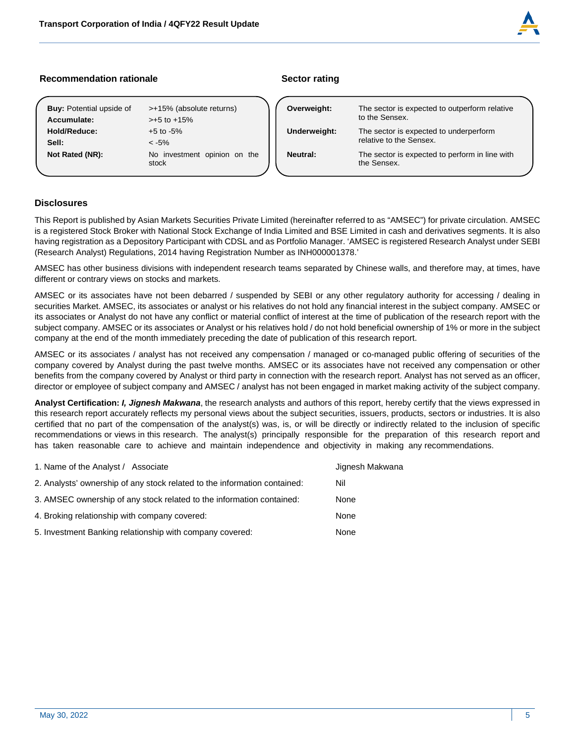

# **Recommendation rationale Sector rating Sector rating Sector rating Sector rating**

| <b>Buy:</b> Potential upside of | >+15% (absolute returns)              | Overweight:     | The se           |
|---------------------------------|---------------------------------------|-----------------|------------------|
| Accumulate:                     | $> +5$ to $+15%$                      |                 | to the \$        |
| Hold/Reduce:                    | $+5$ to $-5%$                         | Underweight:    | The se           |
| Sell:                           | $< -5\%$                              |                 | relative         |
| Not Rated (NR):                 | No investment opinion on the<br>stock | <b>Neutral:</b> | The se<br>the Se |

| Overweight:     | The sector is expected to outperform relative<br>to the Sensex.   |  |
|-----------------|-------------------------------------------------------------------|--|
| Underweight:    | The sector is expected to underperform<br>relative to the Sensex. |  |
| <b>Neutral:</b> | The sector is expected to perform in line with<br>the Sensex.     |  |

# **Disclosures**

This Report is published by Asian Markets Securities Private Limited (hereinafter referred to as "AMSEC") for private circulation. AMSEC is a registered Stock Broker with National Stock Exchange of India Limited and BSE Limited in cash and derivatives segments. It is also having registration as a Depository Participant with CDSL and as Portfolio Manager. 'AMSEC is registered Research Analyst under SEBI (Research Analyst) Regulations, 2014 having Registration Number as INH000001378.'

AMSEC has other business divisions with independent research teams separated by Chinese walls, and therefore may, at times, have different or contrary views on stocks and markets.

AMSEC or its associates have not been debarred / suspended by SEBI or any other regulatory authority for accessing / dealing in securities Market. AMSEC, its associates or analyst or his relatives do not hold any financial interest in the subject company. AMSEC or its associates or Analyst do not have any conflict or material conflict of interest at the time of publication of the research report with the subject company. AMSEC or its associates or Analyst or his relatives hold / do not hold beneficial ownership of 1% or more in the subject company at the end of the month immediately preceding the date of publication of this research report.

AMSEC or its associates / analyst has not received any compensation / managed or co-managed public offering of securities of the company covered by Analyst during the past twelve months. AMSEC or its associates have not received any compensation or other benefits from the company covered by Analyst or third party in connection with the research report. Analyst has not served as an officer, director or employee of subject company and AMSEC / analyst has not been engaged in market making activity of the subject company.

**Analyst Certification:** *I, Jignesh Makwana*, the research analysts and authors of this report, hereby certify that the views expressed in this research report accurately reflects my personal views about the subject securities, issuers, products, sectors or industries. It is also certified that no part of the compensation of the analyst(s) was, is, or will be directly or indirectly related to the inclusion of specific recommendations or views in this research. The analyst(s) principally responsible for the preparation of this research report and has taken reasonable care to achieve and maintain independence and objectivity in making any recommendations.

| 1. Name of the Analyst / Associate                                        | Jignesh Makwana |
|---------------------------------------------------------------------------|-----------------|
| 2. Analysts' ownership of any stock related to the information contained: | Nil             |
| 3. AMSEC ownership of any stock related to the information contained:     | None            |
| 4. Broking relationship with company covered:                             | None            |
| 5. Investment Banking relationship with company covered:                  | None            |